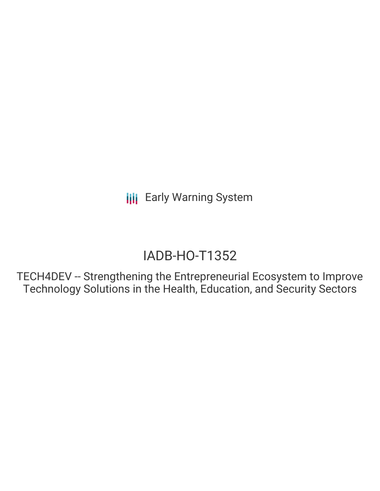**III** Early Warning System

# IADB-HO-T1352

TECH4DEV -- Strengthening the Entrepreneurial Ecosystem to Improve Technology Solutions in the Health, Education, and Security Sectors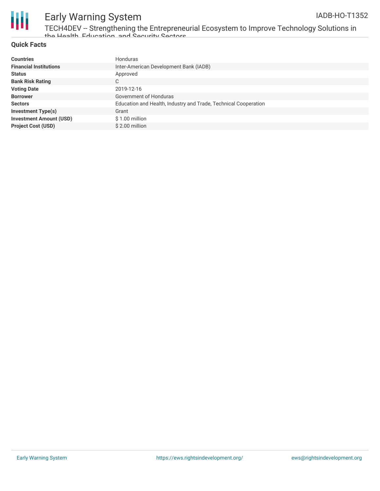

# Early Warning System

TECH4DEV -- Strengthening the Entrepreneurial Ecosystem to Improve Technology Solutions in tha Haalth, Education, and Security Sectors

### **Quick Facts**

| <b>Countries</b>               | Honduras                                                        |
|--------------------------------|-----------------------------------------------------------------|
| <b>Financial Institutions</b>  | Inter-American Development Bank (IADB)                          |
| <b>Status</b>                  | Approved                                                        |
| <b>Bank Risk Rating</b>        | С                                                               |
| <b>Voting Date</b>             | 2019-12-16                                                      |
| <b>Borrower</b>                | Government of Honduras                                          |
| <b>Sectors</b>                 | Education and Health, Industry and Trade, Technical Cooperation |
| <b>Investment Type(s)</b>      | Grant                                                           |
| <b>Investment Amount (USD)</b> | $$1.00$ million                                                 |
| <b>Project Cost (USD)</b>      | \$2.00 million                                                  |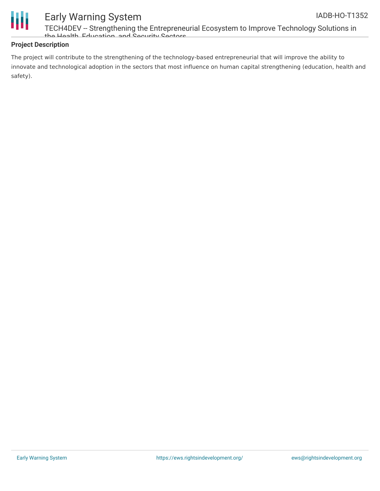

# Early Warning System

TECH4DEV -- Strengthening the Entrepreneurial Ecosystem to Improve Technology Solutions in the Health, Education, and Security Sectors

# **Project Description**

The project will contribute to the strengthening of the technology-based entrepreneurial that will improve the ability to innovate and technological adoption in the sectors that most influence on human capital strengthening (education, health and safety).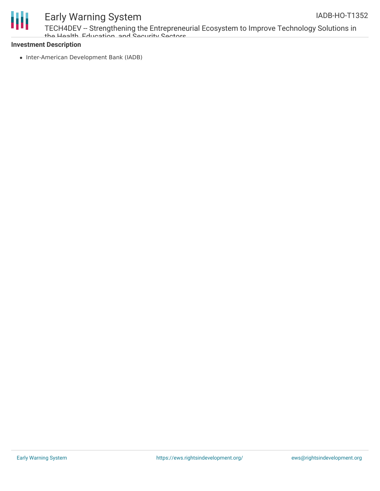

# Early Warning System

TECH4DEV -- Strengthening the Entrepreneurial Ecosystem to Improve Technology Solutions in the Health, Education, and Security Sectors

### **Investment Description**

• Inter-American Development Bank (IADB)